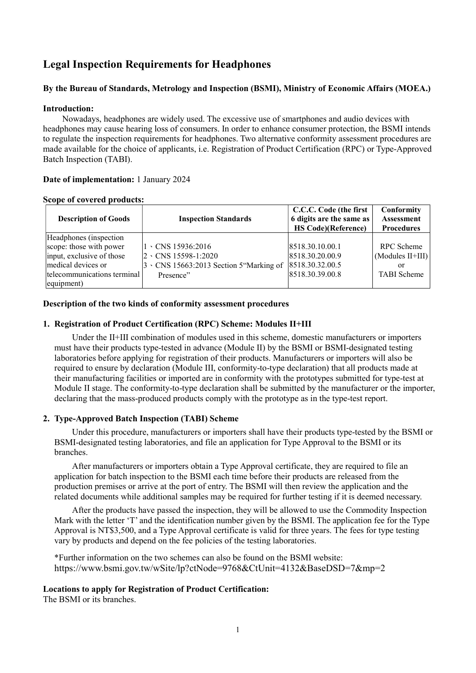# Legal Inspection Requirements for Headphones

# By the Bureau of Standards, Metrology and Inspection (BSMI), Ministry of Economic Affairs (MOEA.)

### Introduction:

Nowadays, headphones are widely used. The excessive use of smartphones and audio devices with headphones may cause hearing loss of consumers. In order to enhance consumer protection, the BSMI intends to regulate the inspection requirements for headphones. Two alternative conformity assessment procedures are made available for the choice of applicants, i.e. Registration of Product Certification (RPC) or Type-Approved Batch Inspection (TABI).

### Date of implementation: 1 January 2024

#### Scope of covered products:

| <b>Description of Goods</b>                                                                                                                        | <b>Inspection Standards</b>                                                                                    | C.C.C. Code (the first<br>6 digits are the same as<br><b>HS Code)</b> (Reference) | Conformity<br><b>Assessment</b><br><b>Procedures</b>              |
|----------------------------------------------------------------------------------------------------------------------------------------------------|----------------------------------------------------------------------------------------------------------------|-----------------------------------------------------------------------------------|-------------------------------------------------------------------|
| Headphones (inspection)<br>scope: those with power<br>input, exclusive of those<br>medical devices or<br>telecommunications terminal<br>equipment) | $1 \cdot$ CNS 15936:2016<br>2 \CNS 15598-1:2020<br>$3 \cdot$ CNS 15663:2013 Section 5 "Marking of<br>Presence" | 8518.30.10.00.1<br>8518.30.20.00.9<br>8518.30.32.00.5<br>8518.30.39.00.8          | <b>RPC</b> Scheme<br>(Modules II+III)<br>or<br><b>TABI</b> Scheme |

### Description of the two kinds of conformity assessment procedures

### 1. Registration of Product Certification (RPC) Scheme: Modules II+III

Under the II+III combination of modules used in this scheme, domestic manufacturers or importers must have their products type-tested in advance (Module II) by the BSMI or BSMI-designated testing laboratories before applying for registration of their products. Manufacturers or importers will also be required to ensure by declaration (Module III, conformity-to-type declaration) that all products made at their manufacturing facilities or imported are in conformity with the prototypes submitted for type-test at Module II stage. The conformity-to-type declaration shall be submitted by the manufacturer or the importer, declaring that the mass-produced products comply with the prototype as in the type-test report.

### 2. Type-Approved Batch Inspection (TABI) Scheme

Under this procedure, manufacturers or importers shall have their products type-tested by the BSMI or BSMI-designated testing laboratories, and file an application for Type Approval to the BSMI or its branches.

After manufacturers or importers obtain a Type Approval certificate, they are required to file an application for batch inspection to the BSMI each time before their products are released from the production premises or arrive at the port of entry. The BSMI will then review the application and the related documents while additional samples may be required for further testing if it is deemed necessary.

After the products have passed the inspection, they will be allowed to use the Commodity Inspection Mark with the letter 'T' and the identification number given by the BSMI. The application fee for the Type Approval is NT\$3,500, and a Type Approval certificate is valid for three years. The fees for type testing vary by products and depend on the fee policies of the testing laboratories.

\*Further information on the two schemes can also be found on the BSMI website: https://www.bsmi.gov.tw/wSite/lp?ctNode=9768&CtUnit=4132&BaseDSD=7&mp=2

### Locations to apply for Registration of Product Certification:

The BSMI or its branches.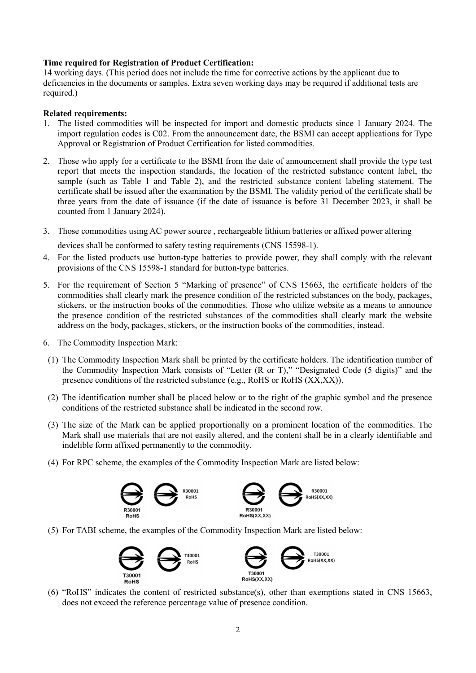# Time required for Registration of Product Certification:

14 working days. (This period does not include the time for corrective actions by the applicant due to deficiencies in the documents or samples. Extra seven working days may be required if additional tests are required.)

# Related requirements:

- 1. The listed commodities will be inspected for import and domestic products since 1 January 2024. The import regulation codes is C02. From the announcement date, the BSMI can accept applications for Type Approval or Registration of Product Certification for listed commodities.
- 2. Those who apply for a certificate to the BSMI from the date of announcement shall provide the type test report that meets the inspection standards, the location of the restricted substance content label, the sample (such as Table 1 and Table 2), and the restricted substance content labeling statement. The certificate shall be issued after the examination by the BSMI. The validity period of the certificate shall be three years from the date of issuance (if the date of issuance is before 31 December 2023, it shall be counted from 1 January 2024).
- 3. Those commodities using AC power source , rechargeable lithium batteries or affixed power altering

devices shall be conformed to safety testing requirements (CNS 15598-1).

- 4. For the listed products use button-type batteries to provide power, they shall comply with the relevant provisions of the CNS 15598-1 standard for button-type batteries.
- 5. For the requirement of Section 5 "Marking of presence" of CNS 15663, the certificate holders of the commodities shall clearly mark the presence condition of the restricted substances on the body, packages, stickers, or the instruction books of the commodities. Those who utilize website as a means to announce the presence condition of the restricted substances of the commodities shall clearly mark the website address on the body, packages, stickers, or the instruction books of the commodities, instead.
- 6. The Commodity Inspection Mark:
- (1) The Commodity Inspection Mark shall be printed by the certificate holders. The identification number of the Commodity Inspection Mark consists of "Letter (R or T)," "Designated Code (5 digits)" and the presence conditions of the restricted substance (e.g., RoHS or RoHS (XX,XX)).
- (2) The identification number shall be placed below or to the right of the graphic symbol and the presence conditions of the restricted substance shall be indicated in the second row.
- (3) The size of the Mark can be applied proportionally on a prominent location of the commodities. The Mark shall use materials that are not easily altered, and the content shall be in a clearly identifiable and indelible form affixed permanently to the commodity.
- (4) For RPC scheme, the examples of the Commodity Inspection Mark are listed below:



(5) For TABI scheme, the examples of the Commodity Inspection Mark are listed below:



(6) "RoHS" indicates the content of restricted substance(s), other than exemptions stated in CNS 15663, does not exceed the reference percentage value of presence condition.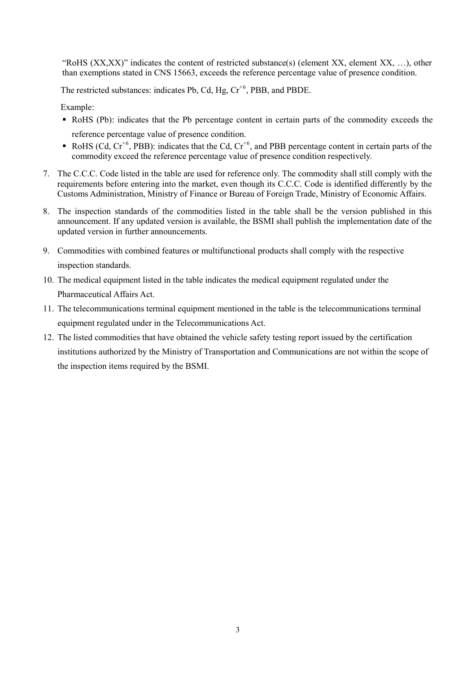"RoHS (XX,XX)" indicates the content of restricted substance(s) (element XX, element XX, …), other than exemptions stated in CNS 15663, exceeds the reference percentage value of presence condition.

The restricted substances: indicates Pb, Cd, Hg,  $Cr^{+6}$ , PBB, and PBDE.

Example:

- RoHS (Pb): indicates that the Pb percentage content in certain parts of the commodity exceeds the reference percentage value of presence condition.
- RoHS (Cd,  $Cr^{+6}$ , PBB): indicates that the Cd,  $Cr^{+6}$ , and PBB percentage content in certain parts of the commodity exceed the reference percentage value of presence condition respectively.
- 7. The C.C.C. Code listed in the table are used for reference only. The commodity shall still comply with the requirements before entering into the market, even though its C.C.C. Code is identified differently by the Customs Administration, Ministry of Finance or Bureau of Foreign Trade, Ministry of Economic Affairs.
- 8. The inspection standards of the commodities listed in the table shall be the version published in this announcement. If any updated version is available, the BSMI shall publish the implementation date of the updated version in further announcements.
- 9. Commodities with combined features or multifunctional products shall comply with the respective inspection standards.
- 10. The medical equipment listed in the table indicates the medical equipment regulated under the Pharmaceutical Affairs Act.
- 11. The telecommunications terminal equipment mentioned in the table is the telecommunications terminal equipment regulated under in the Telecommunications Act.
- 12. The listed commodities that have obtained the vehicle safety testing report issued by the certification institutions authorized by the Ministry of Transportation and Communications are not within the scope of the inspection items required by the BSMI.